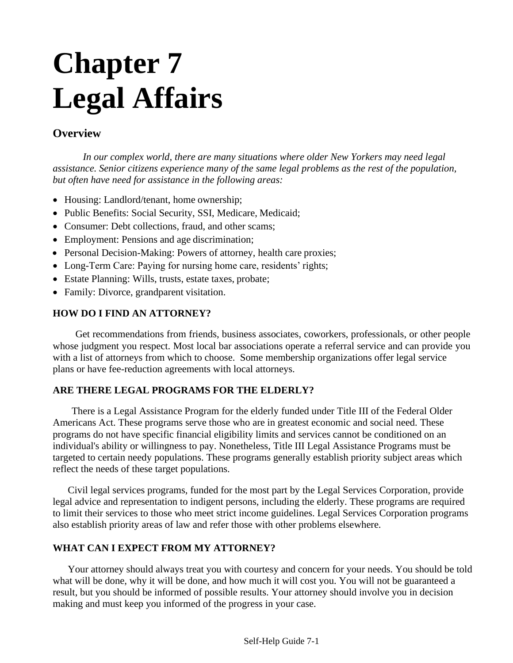# **Chapter 7 Legal Affairs**

### **Overview**

*In our complex world, there are many situations where older New Yorkers may need legal assistance. Senior citizens experience many of the same legal problems as the rest of the population, but often have need for assistance in the following areas:*

- Housing: Landlord/tenant, home ownership;
- Public Benefits: Social Security, SSI, Medicare, Medicaid;
- Consumer: Debt collections, fraud, and other scams;
- Employment: Pensions and age discrimination;
- Personal Decision-Making: Powers of attorney, health care proxies;
- Long-Term Care: Paying for nursing home care, residents' rights;
- Estate Planning: Wills, trusts, estate taxes, probate;
- Family: Divorce, grandparent visitation.

#### **HOW DO I FIND AN ATTORNEY?**

Get recommendations from friends, business associates, coworkers, professionals, or other people whose judgment you respect. Most local bar associations operate a referral service and can provide you with a list of attorneys from which to choose. Some membership organizations offer legal service plans or have fee-reduction agreements with local attorneys.

#### **ARE THERE LEGAL PROGRAMS FOR THE ELDERLY?**

There is a Legal Assistance Program for the elderly funded under Title III of the Federal Older Americans Act. These programs serve those who are in greatest economic and social need. These programs do not have specific financial eligibility limits and services cannot be conditioned on an individual's ability or willingness to pay. Nonetheless, Title III Legal Assistance Programs must be targeted to certain needy populations. These programs generally establish priority subject areas which reflect the needs of these target populations.

Civil legal services programs, funded for the most part by the Legal Services Corporation, provide legal advice and representation to indigent persons, including the elderly. These programs are required to limit their services to those who meet strict income guidelines. Legal Services Corporation programs also establish priority areas of law and refer those with other problems elsewhere.

#### **WHAT CAN I EXPECT FROM MY ATTORNEY?**

Your attorney should always treat you with courtesy and concern for your needs. You should be told what will be done, why it will be done, and how much it will cost you. You will not be guaranteed a result, but you should be informed of possible results. Your attorney should involve you in decision making and must keep you informed of the progress in your case.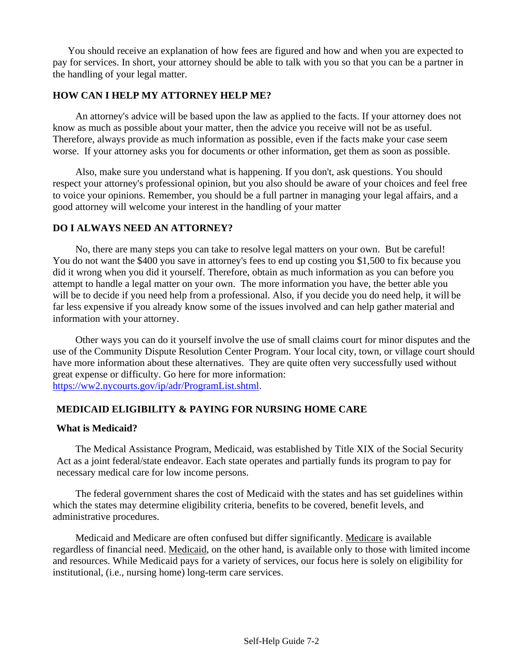You should receive an explanation of how fees are figured and how and when you are expected to pay for services. In short, your attorney should be able to talk with you so that you can be a partner in the handling of your legal matter.

#### **HOW CAN I HELP MY ATTORNEY HELP ME?**

An attorney's advice will be based upon the law as applied to the facts. If your attorney does not know as much as possible about your matter, then the advice you receive will not be as useful. Therefore, always provide as much information as possible, even if the facts make your case seem worse. If your attorney asks you for documents or other information, get them as soon as possible.

Also, make sure you understand what is happening. If you don't, ask questions. You should respect your attorney's professional opinion, but you also should be aware of your choices and feel free to voice your opinions. Remember, you should be a full partner in managing your legal affairs, and a good attorney will welcome your interest in the handling of your matter

#### **DO I ALWAYS NEED AN ATTORNEY?**

No, there are many steps you can take to resolve legal matters on your own. But be careful! You do not want the \$400 you save in attorney's fees to end up costing you \$1,500 to fix because you did it wrong when you did it yourself. Therefore, obtain as much information as you can before you attempt to handle a legal matter on your own. The more information you have, the better able you will be to decide if you need help from a professional. Also, if you decide you do need help, it will be far less expensive if you already know some of the issues involved and can help gather material and information with your attorney.

Other ways you can do it yourself involve the use of small claims court for minor disputes and the use of the Community Dispute Resolution Center Program. Your local city, town, or village court should have more information about these alternatives. They are quite often very successfully used without great expense or difficulty. Go here for more information: [https://ww2.nycourts.gov/ip/adr/ProgramList.shtml.](https://ww2.nycourts.gov/ip/adr/ProgramList.shtml)

#### **MEDICAID ELIGIBILITY & PAYING FOR NURSING HOME CARE**

#### **What is Medicaid?**

The Medical Assistance Program, Medicaid, was established by Title XIX of the Social Security Act as a joint federal/state endeavor. Each state operates and partially funds its program to pay for necessary medical care for low income persons.

The federal government shares the cost of Medicaid with the states and has set guidelines within which the states may determine eligibility criteria, benefits to be covered, benefit levels, and administrative procedures.

Medicaid and Medicare are often confused but differ significantly. Medicare is available regardless of financial need. Medicaid, on the other hand, is available only to those with limited income and resources. While Medicaid pays for a variety of services, our focus here is solely on eligibility for institutional, (i.e., nursing home) long-term care services.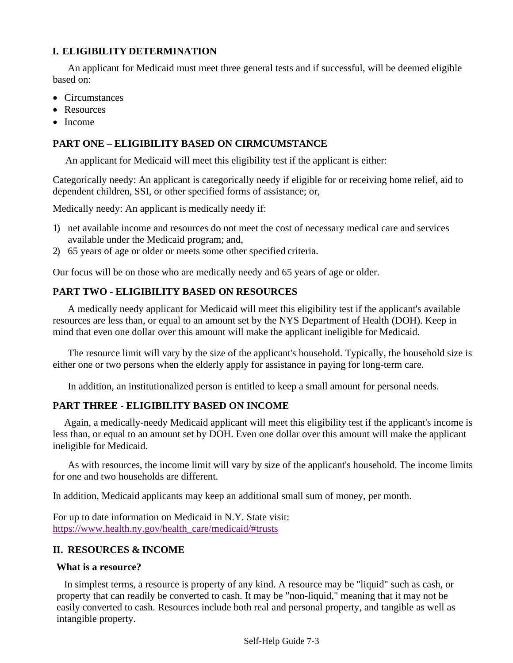#### **I. ELIGIBILITY DETERMINATION**

An applicant for Medicaid must meet three general tests and if successful, will be deemed eligible based on:

- Circumstances
- Resources
- Income

#### **PART ONE – ELIGIBILITY BASED ON CIRMCUMSTANCE**

An applicant for Medicaid will meet this eligibility test if the applicant is either:

Categorically needy: An applicant is categorically needy if eligible for or receiving home relief, aid to dependent children, SSI, or other specified forms of assistance; or,

Medically needy: An applicant is medically needy if:

- 1) net available income and resources do not meet the cost of necessary medical care and services available under the Medicaid program; and,
- 2) 65 years of age or older or meets some other specified criteria.

Our focus will be on those who are medically needy and 65 years of age or older.

#### **PART TWO - ELIGIBILITY BASED ON RESOURCES**

A medically needy applicant for Medicaid will meet this eligibility test if the applicant's available resources are less than, or equal to an amount set by the NYS Department of Health (DOH). Keep in mind that even one dollar over this amount will make the applicant ineligible for Medicaid.

The resource limit will vary by the size of the applicant's household. Typically, the household size is either one or two persons when the elderly apply for assistance in paying for long-term care.

In addition, an institutionalized person is entitled to keep a small amount for personal needs.

#### **PART THREE - ELIGIBILITY BASED ON INCOME**

Again, a medically-needy Medicaid applicant will meet this eligibility test if the applicant's income is less than, or equal to an amount set by DOH. Even one dollar over this amount will make the applicant ineligible for Medicaid.

As with resources, the income limit will vary by size of the applicant's household. The income limits for one and two households are different.

In addition, Medicaid applicants may keep an additional small sum of money, per month.

For up to date information on Medicaid in N.Y. State visit: [https://www.health.ny.gov/health\\_care/medicaid/#trusts](https://www.health.ny.gov/health_care/medicaid/#trusts)

#### **II. RESOURCES & INCOME**

#### **What is a resource?**

In simplest terms, a resource is property of any kind. A resource may be "liquid" such as cash, or property that can readily be converted to cash. It may be "non-liquid," meaning that it may not be easily converted to cash. Resources include both real and personal property, and tangible as well as intangible property.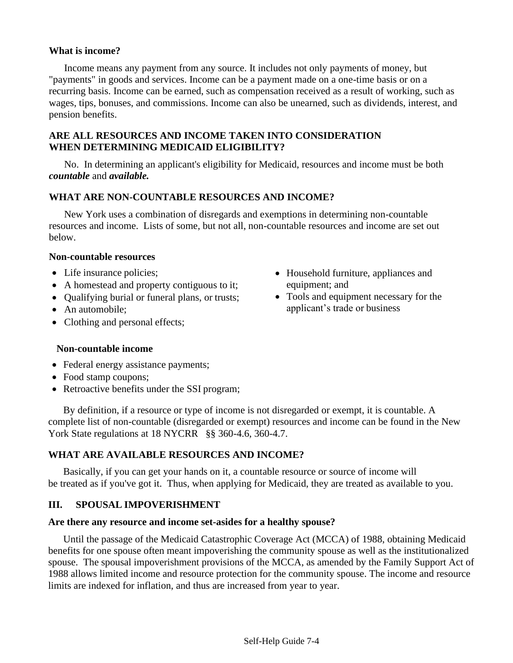#### **What is income?**

Income means any payment from any source. It includes not only payments of money, but "payments" in goods and services. Income can be a payment made on a one-time basis or on a recurring basis. Income can be earned, such as compensation received as a result of working, such as wages, tips, bonuses, and commissions. Income can also be unearned, such as dividends, interest, and pension benefits.

#### **ARE ALL RESOURCES AND INCOME TAKEN INTO CONSIDERATION WHEN DETERMINING MEDICAID ELIGIBILITY?**

No. In determining an applicant's eligibility for Medicaid, resources and income must be both *countable* and *available.*

#### **WHAT ARE NON-COUNTABLE RESOURCES AND INCOME?**

New York uses a combination of disregards and exemptions in determining non-countable resources and income. Lists of some, but not all, non-countable resources and income are set out below.

#### **Non-countable resources**

- Life insurance policies;
- A homestead and property contiguous to it;
- Qualifying burial or funeral plans, or trusts;
- An automobile:
- Clothing and personal effects;

#### • Household furniture, appliances and equipment; and

• Tools and equipment necessary for the applicant's trade or business

#### **Non-countable income**

- Federal energy assistance payments;
- Food stamp coupons;
- Retroactive benefits under the SSI program;

By definition, if a resource or type of income is not disregarded or exempt, it is countable. A complete list of non-countable (disregarded or exempt) resources and income can be found in the New York State regulations at 18 NYCRR §§ 360-4.6, 360-4.7.

#### **WHAT ARE AVAILABLE RESOURCES AND INCOME?**

Basically, if you can get your hands on it, a countable resource or source of income will be treated as if you've got it. Thus, when applying for Medicaid, they are treated as available to you.

#### **III. SPOUSAL IMPOVERISHMENT**

#### **Are there any resource and income set-asides for a healthy spouse?**

Until the passage of the Medicaid Catastrophic Coverage Act (MCCA) of 1988, obtaining Medicaid benefits for one spouse often meant impoverishing the community spouse as well as the institutionalized spouse. The spousal impoverishment provisions of the MCCA, as amended by the Family Support Act of 1988 allows limited income and resource protection for the community spouse. The income and resource limits are indexed for inflation, and thus are increased from year to year.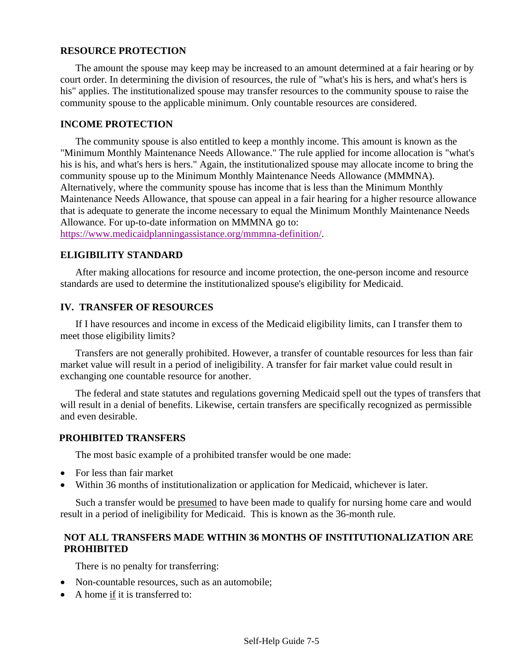#### **RESOURCE PROTECTION**

The amount the spouse may keep may be increased to an amount determined at a fair hearing or by court order. In determining the division of resources, the rule of "what's his is hers, and what's hers is his" applies. The institutionalized spouse may transfer resources to the community spouse to raise the community spouse to the applicable minimum. Only countable resources are considered.

#### **INCOME PROTECTION**

The community spouse is also entitled to keep a monthly income. This amount is known as the "Minimum Monthly Maintenance Needs Allowance." The rule applied for income allocation is "what's his is his, and what's hers is hers." Again, the institutionalized spouse may allocate income to bring the community spouse up to the Minimum Monthly Maintenance Needs Allowance (MMMNA). Alternatively, where the community spouse has income that is less than the Minimum Monthly Maintenance Needs Allowance, that spouse can appeal in a fair hearing for a higher resource allowance that is adequate to generate the income necessary to equal the Minimum Monthly Maintenance Needs Allowance. For up-to-date information on MMMNA go to:

[https://www.medicaidplanningassistance.org/mmmna-definition/.](https://www.medicaidplanningassistance.org/mmmna-definition/)

#### **ELIGIBILITY STANDARD**

After making allocations for resource and income protection, the one-person income and resource standards are used to determine the institutionalized spouse's eligibility for Medicaid.

#### **IV. TRANSFER OF RESOURCES**

If I have resources and income in excess of the Medicaid eligibility limits, can I transfer them to meet those eligibility limits?

Transfers are not generally prohibited. However, a transfer of countable resources for less than fair market value will result in a period of ineligibility. A transfer for fair market value could result in exchanging one countable resource for another.

The federal and state statutes and regulations governing Medicaid spell out the types of transfers that will result in a denial of benefits. Likewise, certain transfers are specifically recognized as permissible and even desirable.

#### **PROHIBITED TRANSFERS**

The most basic example of a prohibited transfer would be one made:

- For less than fair market
- Within 36 months of institutionalization or application for Medicaid, whichever is later.

Such a transfer would be presumed to have been made to qualify for nursing home care and would result in a period of ineligibility for Medicaid. This is known as the 36-month rule.

#### **NOT ALL TRANSFERS MADE WITHIN 36 MONTHS OF INSTITUTIONALIZATION ARE PROHIBITED**

There is no penalty for transferring:

- Non-countable resources, such as an automobile;
- A home if it is transferred to: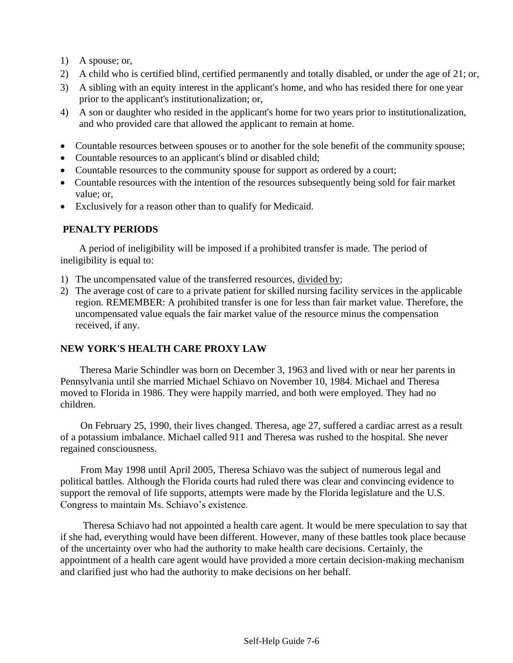- 1) A spouse; or,
- 2) A child who is certified blind, certified permanently and totally disabled, or under the age of 21; or,
- 3) A sibling with an equity interest in the applicant's home, and who has resided there for one year prior to the applicant's institutionalization; or,
- 4) A son or daughter who resided in the applicant's home for two years prior to institutionalization, and who provided care that allowed the applicant to remain at home.
- Countable resources between spouses or to another for the sole benefit of the community spouse;
- Countable resources to an applicant's blind or disabled child;
- Countable resources to the community spouse for support as ordered by a court;
- Countable resources with the intention of the resources subsequently being sold for fair market value; or,
- Exclusively for a reason other than to qualify for Medicaid.

#### **PENALTY PERIODS**

A period of ineligibility will be imposed if a prohibited transfer is made. The period of ineligibility is equal to:

- 1) The uncompensated value of the transferred resources, divided by;
- 2) The average cost of care to a private patient for skilled nursing facility services in the applicable region. REMEMBER: A prohibited transfer is one for less than fair market value. Therefore, the uncompensated value equals the fair market value of the resource minus the compensation received, if any.

#### **NEW YORK'S HEALTH CARE PROXY LAW**

Theresa Marie Schindler was born on December 3, 1963 and lived with or near her parents in Pennsylvania until she married Michael Schiavo on November 10, 1984. Michael and Theresa moved to Florida in 1986. They were happily married, and both were employed. They had no children.

On February 25, 1990, their lives changed. Theresa, age 27, suffered a cardiac arrest as a result of a potassium imbalance. Michael called 911 and Theresa was rushed to the hospital. She never regained consciousness.

From May 1998 until April 2005, Theresa Schiavo was the subject of numerous legal and political battles. Although the Florida courts had ruled there was clear and convincing evidence to support the removal of life supports, attempts were made by the Florida legislature and the U.S. Congress to maintain Ms. Schiavo's existence.

Theresa Schiavo had not appointed a health care agent. It would be mere speculation to say that if she had, everything would have been different. However, many of these battles took place because of the uncertainty over who had the authority to make health care decisions. Certainly, the appointment of a health care agent would have provided a more certain decision-making mechanism and clarified just who had the authority to make decisions on her behalf.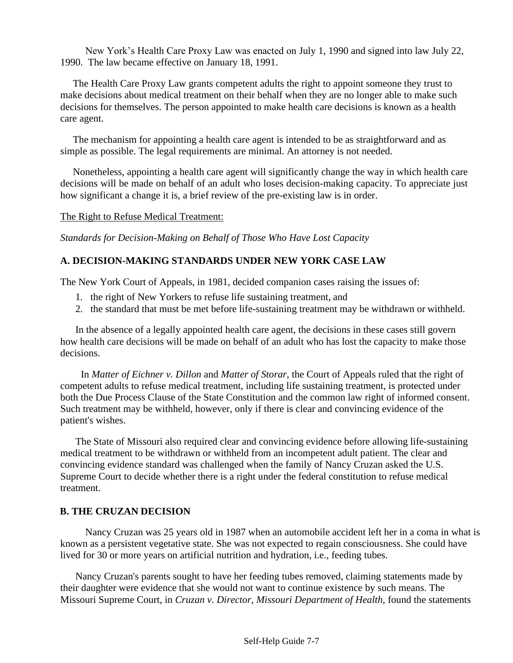New York's Health Care Proxy Law was enacted on July 1, 1990 and signed into law July 22, 1990. The law became effective on January 18, 1991.

The Health Care Proxy Law grants competent adults the right to appoint someone they trust to make decisions about medical treatment on their behalf when they are no longer able to make such decisions for themselves. The person appointed to make health care decisions is known as a health care agent.

The mechanism for appointing a health care agent is intended to be as straightforward and as simple as possible. The legal requirements are minimal. An attorney is not needed.

Nonetheless, appointing a health care agent will significantly change the way in which health care decisions will be made on behalf of an adult who loses decision-making capacity. To appreciate just how significant a change it is, a brief review of the pre-existing law is in order.

The Right to Refuse Medical Treatment:

*Standards for Decision-Making on Behalf of Those Who Have Lost Capacity*

#### **A. DECISION-MAKING STANDARDS UNDER NEW YORK CASE LAW**

The New York Court of Appeals, in 1981, decided companion cases raising the issues of:

- 1. the right of New Yorkers to refuse life sustaining treatment, and
- 2. the standard that must be met before life-sustaining treatment may be withdrawn or withheld.

In the absence of a legally appointed health care agent, the decisions in these cases still govern how health care decisions will be made on behalf of an adult who has lost the capacity to make those decisions.

In *Matter of Eichner v. Dillon* and *Matter of Storar,* the Court of Appeals ruled that the right of competent adults to refuse medical treatment, including life sustaining treatment, is protected under both the Due Process Clause of the State Constitution and the common law right of informed consent. Such treatment may be withheld, however, only if there is clear and convincing evidence of the patient's wishes.

The State of Missouri also required clear and convincing evidence before allowing life-sustaining medical treatment to be withdrawn or withheld from an incompetent adult patient. The clear and convincing evidence standard was challenged when the family of Nancy Cruzan asked the U.S. Supreme Court to decide whether there is a right under the federal constitution to refuse medical treatment.

#### **B. THE CRUZAN DECISION**

Nancy Cruzan was 25 years old in 1987 when an automobile accident left her in a coma in what is known as a persistent vegetative state. She was not expected to regain consciousness. She could have lived for 30 or more years on artificial nutrition and hydration, i.e., feeding tubes.

Nancy Cruzan's parents sought to have her feeding tubes removed, claiming statements made by their daughter were evidence that she would not want to continue existence by such means. The Missouri Supreme Court, in *Cruzan v. Director, Missouri Department of Health,* found the statements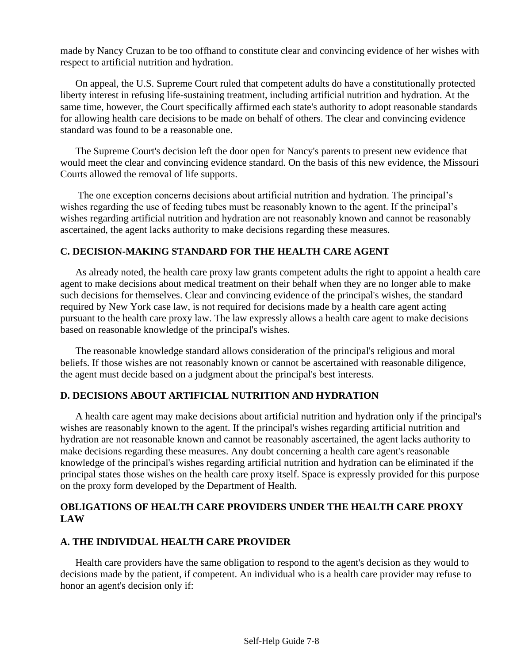made by Nancy Cruzan to be too offhand to constitute clear and convincing evidence of her wishes with respect to artificial nutrition and hydration.

On appeal, the U.S. Supreme Court ruled that competent adults do have a constitutionally protected liberty interest in refusing life-sustaining treatment, including artificial nutrition and hydration. At the same time, however, the Court specifically affirmed each state's authority to adopt reasonable standards for allowing health care decisions to be made on behalf of others. The clear and convincing evidence standard was found to be a reasonable one.

The Supreme Court's decision left the door open for Nancy's parents to present new evidence that would meet the clear and convincing evidence standard. On the basis of this new evidence, the Missouri Courts allowed the removal of life supports.

The one exception concerns decisions about artificial nutrition and hydration. The principal's wishes regarding the use of feeding tubes must be reasonably known to the agent. If the principal's wishes regarding artificial nutrition and hydration are not reasonably known and cannot be reasonably ascertained, the agent lacks authority to make decisions regarding these measures.

#### **C. DECISION-MAKING STANDARD FOR THE HEALTH CARE AGENT**

As already noted, the health care proxy law grants competent adults the right to appoint a health care agent to make decisions about medical treatment on their behalf when they are no longer able to make such decisions for themselves. Clear and convincing evidence of the principal's wishes, the standard required by New York case law, is not required for decisions made by a health care agent acting pursuant to the health care proxy law. The law expressly allows a health care agent to make decisions based on reasonable knowledge of the principal's wishes.

The reasonable knowledge standard allows consideration of the principal's religious and moral beliefs. If those wishes are not reasonably known or cannot be ascertained with reasonable diligence, the agent must decide based on a judgment about the principal's best interests.

#### **D. DECISIONS ABOUT ARTIFICIAL NUTRITION AND HYDRATION**

A health care agent may make decisions about artificial nutrition and hydration only if the principal's wishes are reasonably known to the agent. If the principal's wishes regarding artificial nutrition and hydration are not reasonable known and cannot be reasonably ascertained, the agent lacks authority to make decisions regarding these measures. Any doubt concerning a health care agent's reasonable knowledge of the principal's wishes regarding artificial nutrition and hydration can be eliminated if the principal states those wishes on the health care proxy itself. Space is expressly provided for this purpose on the proxy form developed by the Department of Health.

#### **OBLIGATIONS OF HEALTH CARE PROVIDERS UNDER THE HEALTH CARE PROXY LAW**

#### **A. THE INDIVIDUAL HEALTH CARE PROVIDER**

Health care providers have the same obligation to respond to the agent's decision as they would to decisions made by the patient, if competent. An individual who is a health care provider may refuse to honor an agent's decision only if: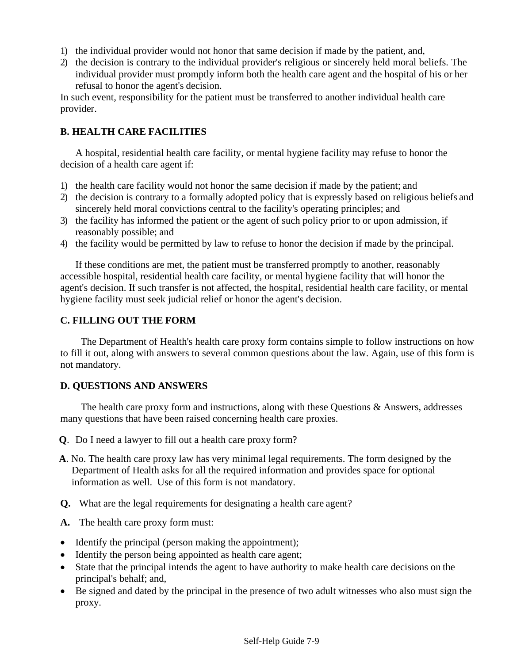- 1) the individual provider would not honor that same decision if made by the patient, and,
- 2) the decision is contrary to the individual provider's religious or sincerely held moral beliefs. The individual provider must promptly inform both the health care agent and the hospital of his or her refusal to honor the agent's decision.

In such event, responsibility for the patient must be transferred to another individual health care provider.

#### **B. HEALTH CARE FACILITIES**

A hospital, residential health care facility, or mental hygiene facility may refuse to honor the decision of a health care agent if:

- 1) the health care facility would not honor the same decision if made by the patient; and
- 2) the decision is contrary to a formally adopted policy that is expressly based on religious beliefs and sincerely held moral convictions central to the facility's operating principles; and
- 3) the facility has informed the patient or the agent of such policy prior to or upon admission, if reasonably possible; and
- 4) the facility would be permitted by law to refuse to honor the decision if made by the principal.

If these conditions are met, the patient must be transferred promptly to another, reasonably accessible hospital, residential health care facility, or mental hygiene facility that will honor the agent's decision. If such transfer is not affected, the hospital, residential health care facility, or mental hygiene facility must seek judicial relief or honor the agent's decision.

#### **C. FILLING OUT THE FORM**

The Department of Health's health care proxy form contains simple to follow instructions on how to fill it out, along with answers to several common questions about the law. Again, use of this form is not mandatory.

#### **D. QUESTIONS AND ANSWERS**

The health care proxy form and instructions, along with these Questions & Answers, addresses many questions that have been raised concerning health care proxies.

- **Q**. Do I need a lawyer to fill out a health care proxy form?
- **A**. No. The health care proxy law has very minimal legal requirements. The form designed by the Department of Health asks for all the required information and provides space for optional information as well. Use of this form is not mandatory.
- **Q.** What are the legal requirements for designating a health care agent?

**A.** The health care proxy form must:

- Identify the principal (person making the appointment);
- Identify the person being appointed as health care agent;
- State that the principal intends the agent to have authority to make health care decisions on the principal's behalf; and,
- Be signed and dated by the principal in the presence of two adult witnesses who also must sign the proxy.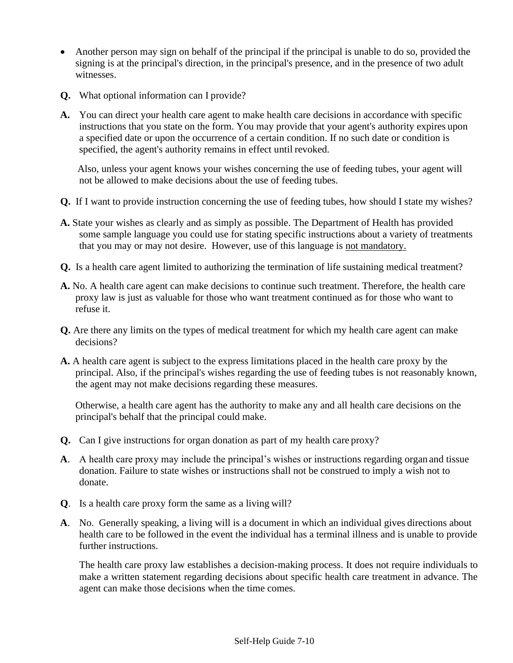- Another person may sign on behalf of the principal if the principal is unable to do so, provided the signing is at the principal's direction, in the principal's presence, and in the presence of two adult witnesses.
- **Q.** What optional information can I provide?
- **A.** You can direct your health care agent to make health care decisions in accordance with specific instructions that you state on the form. You may provide that your agent's authority expires upon a specified date or upon the occurrence of a certain condition. If no such date or condition is specified, the agent's authority remains in effect until revoked.

Also, unless your agent knows your wishes concerning the use of feeding tubes, your agent will not be allowed to make decisions about the use of feeding tubes.

- **Q.** If I want to provide instruction concerning the use of feeding tubes, how should I state my wishes?
- **A.** State your wishes as clearly and as simply as possible. The Department of Health has provided some sample language you could use for stating specific instructions about a variety of treatments that you may or may not desire. However, use of this language is not mandatory.
- **Q.** Is a health care agent limited to authorizing the termination of life sustaining medical treatment?
- **A.** No. A health care agent can make decisions to continue such treatment. Therefore, the health care proxy law is just as valuable for those who want treatment continued as for those who want to refuse it.
- **Q.** Are there any limits on the types of medical treatment for which my health care agent can make decisions?
- **A.** A health care agent is subject to the express limitations placed in the health care proxy by the principal. Also, if the principal's wishes regarding the use of feeding tubes is not reasonably known, the agent may not make decisions regarding these measures.

Otherwise, a health care agent has the authority to make any and all health care decisions on the principal's behalf that the principal could make.

- **Q.** Can I give instructions for organ donation as part of my health care proxy?
- **A**. A health care proxy may include the principal's wishes or instructions regarding organ and tissue donation. Failure to state wishes or instructions shall not be construed to imply a wish not to donate.
- **Q**. Is a health care proxy form the same as a living will?
- **A**. No. Generally speaking, a living will is a document in which an individual gives directions about health care to be followed in the event the individual has a terminal illness and is unable to provide further instructions.

The health care proxy law establishes a decision-making process. It does not require individuals to make a written statement regarding decisions about specific health care treatment in advance. The agent can make those decisions when the time comes.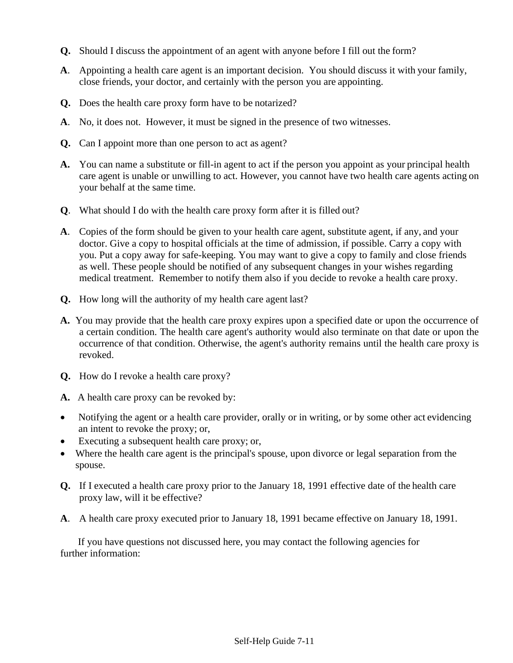- **Q.** Should I discuss the appointment of an agent with anyone before I fill out the form?
- **A**. Appointing a health care agent is an important decision. You should discuss it with your family, close friends, your doctor, and certainly with the person you are appointing.
- **Q.** Does the health care proxy form have to be notarized?
- **A**. No, it does not. However, it must be signed in the presence of two witnesses.
- **Q.** Can I appoint more than one person to act as agent?
- **A.** You can name a substitute or fill-in agent to act if the person you appoint as your principal health care agent is unable or unwilling to act. However, you cannot have two health care agents acting on your behalf at the same time.
- **Q**. What should I do with the health care proxy form after it is filled out?
- **A**. Copies of the form should be given to your health care agent, substitute agent, if any, and your doctor. Give a copy to hospital officials at the time of admission, if possible. Carry a copy with you. Put a copy away for safe-keeping. You may want to give a copy to family and close friends as well. These people should be notified of any subsequent changes in your wishes regarding medical treatment. Remember to notify them also if you decide to revoke a health care proxy.
- **Q.** How long will the authority of my health care agent last?
- **A.** You may provide that the health care proxy expires upon a specified date or upon the occurrence of a certain condition. The health care agent's authority would also terminate on that date or upon the occurrence of that condition. Otherwise, the agent's authority remains until the health care proxy is revoked.
- **Q.** How do I revoke a health care proxy?
- **A.** A health care proxy can be revoked by:
- Notifying the agent or a health care provider, orally or in writing, or by some other act evidencing an intent to revoke the proxy; or,
- Executing a subsequent health care proxy; or,
- Where the health care agent is the principal's spouse, upon divorce or legal separation from the spouse.
- **Q.** If I executed a health care proxy prior to the January 18, 1991 effective date of the health care proxy law, will it be effective?
- **A**. A health care proxy executed prior to January 18, 1991 became effective on January 18, 1991.

If you have questions not discussed here, you may contact the following agencies for further information: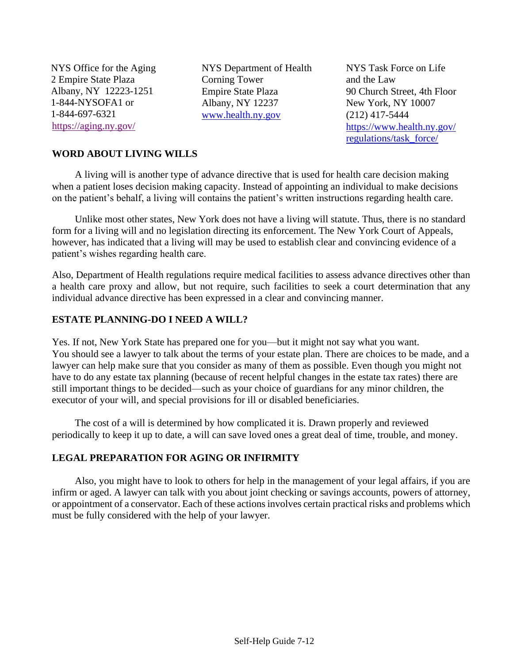NYS Office for the Aging 2 Empire State Plaza Albany, NY 12223-1251 1-844-NYSOFA1 or 1-844-697-6321 <https://aging.ny.gov/>

NYS Department of Health Corning Tower Empire State Plaza Albany, NY 12237 [www.health.ny.gov](http://www.health.ny.gov/)

NYS Task Force on Life and the Law 90 Church Street, 4th Floor New York, NY 10007 (212) 417-5444 [https://www.health.ny.gov/](https://www.health.ny.gov/regulations/task_force/) [regulations/task\\_force/](https://www.health.ny.gov/regulations/task_force/)

#### **WORD ABOUT LIVING WILLS**

A living will is another type of advance directive that is used for health care decision making when a patient loses decision making capacity. Instead of appointing an individual to make decisions on the patient's behalf, a living will contains the patient's written instructions regarding health care.

Unlike most other states, New York does not have a living will statute. Thus, there is no standard form for a living will and no legislation directing its enforcement. The New York Court of Appeals, however, has indicated that a living will may be used to establish clear and convincing evidence of a patient's wishes regarding health care.

Also, Department of Health regulations require medical facilities to assess advance directives other than a health care proxy and allow, but not require, such facilities to seek a court determination that any individual advance directive has been expressed in a clear and convincing manner.

#### **ESTATE PLANNING-DO I NEED A WILL?**

Yes. If not, New York State has prepared one for you—but it might not say what you want. You should see a lawyer to talk about the terms of your estate plan. There are choices to be made, and a lawyer can help make sure that you consider as many of them as possible. Even though you might not have to do any estate tax planning (because of recent helpful changes in the estate tax rates) there are still important things to be decided—such as your choice of guardians for any minor children, the executor of your will, and special provisions for ill or disabled beneficiaries.

The cost of a will is determined by how complicated it is. Drawn properly and reviewed periodically to keep it up to date, a will can save loved ones a great deal of time, trouble, and money.

#### **LEGAL PREPARATION FOR AGING OR INFIRMITY**

Also, you might have to look to others for help in the management of your legal affairs, if you are infirm or aged. A lawyer can talk with you about joint checking or savings accounts, powers of attorney, or appointment of a conservator. Each of these actions involves certain practical risks and problems which must be fully considered with the help of your lawyer.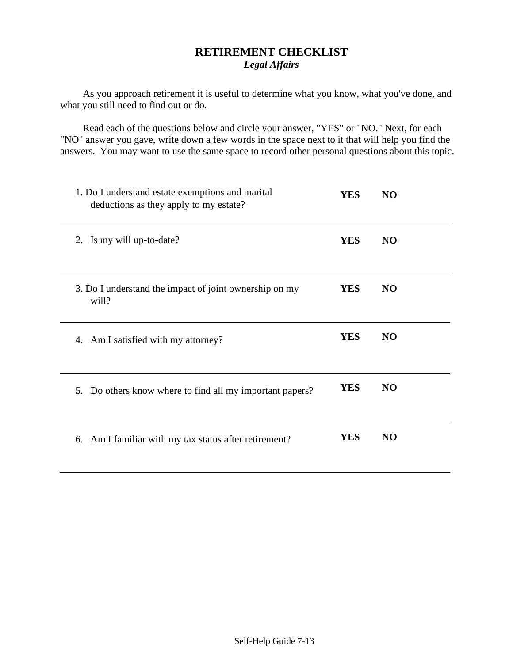#### **RETIREMENT CHECKLIST**  *Legal Affairs*

As you approach retirement it is useful to determine what you know, what you've done, and what you still need to find out or do.

Read each of the questions below and circle your answer, "YES" or "NO." Next, for each "NO" answer you gave, write down a few words in the space next to it that will help you find the answers. You may want to use the same space to record other personal questions about this topic.

| 1. Do I understand estate exemptions and marital<br>deductions as they apply to my estate? | <b>YES</b> | N <sub>O</sub> |  |
|--------------------------------------------------------------------------------------------|------------|----------------|--|
| 2. Is my will up-to-date?                                                                  | <b>YES</b> | N <sub>O</sub> |  |
| 3. Do I understand the impact of joint ownership on my<br>will?                            | <b>YES</b> | <b>NO</b>      |  |
| 4. Am I satisfied with my attorney?                                                        | <b>YES</b> | N <sub>O</sub> |  |
| 5. Do others know where to find all my important papers?                                   | <b>YES</b> | N <sub>O</sub> |  |
| 6. Am I familiar with my tax status after retirement?                                      | <b>YES</b> | N <sub>O</sub> |  |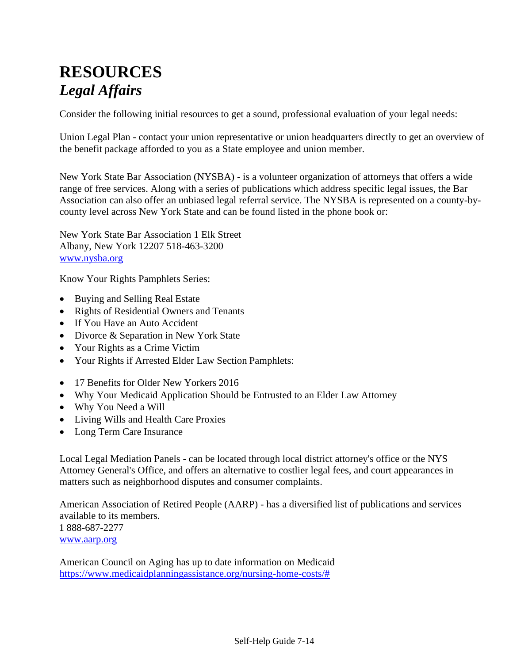## **RESOURCES**  *Legal Affairs*

Consider the following initial resources to get a sound, professional evaluation of your legal needs:

Union Legal Plan - contact your union representative or union headquarters directly to get an overview of the benefit package afforded to you as a State employee and union member.

New York State Bar Association (NYSBA) - is a volunteer organization of attorneys that offers a wide range of free services. Along with a series of publications which address specific legal issues, the Bar Association can also offer an unbiased legal referral service. The NYSBA is represented on a county-bycounty level across New York State and can be found listed in the phone book or:

New York State Bar Association 1 Elk Street Albany, New York 12207 518-463-3200 [www.nysba.org](http://www.nysba.org/)

Know Your Rights Pamphlets Series:

- Buying and Selling Real Estate
- Rights of Residential Owners and Tenants
- If You Have an Auto Accident
- Divorce & Separation in New York State
- Your Rights as a Crime Victim
- Your Rights if Arrested Elder Law Section Pamphlets:
- 17 Benefits for Older New Yorkers 2016
- Why Your Medicaid Application Should be Entrusted to an Elder Law Attorney
- Why You Need a Will
- Living Wills and Health Care Proxies
- Long Term Care Insurance

Local Legal Mediation Panels - can be located through local district attorney's office or the NYS Attorney General's Office, and offers an alternative to costlier legal fees, and court appearances in matters such as neighborhood disputes and consumer complaints.

American Association of Retired People (AARP) - has a diversified list of publications and services available to its members. 1 888-687-2277 [www.aarp.org](http://www.aarp.org/)

American Council on Aging has up to date information on Medicaid [https://www.medicaidplanningassistance.org/nursing-home-costs/#](https://www.medicaidplanningassistance.org/nursing-home-costs/)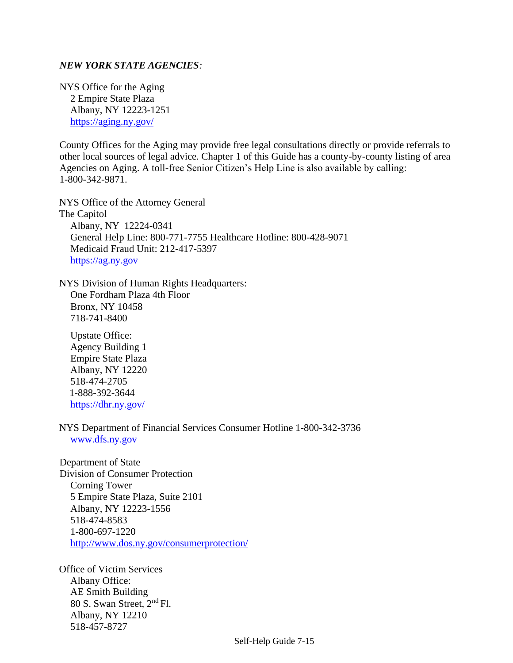#### *NEW YORK STATE AGENCIES:*

NYS Office for the Aging 2 Empire State Plaza Albany, NY 12223-1251 <https://aging.ny.gov/>

County Offices for the Aging may provide free legal consultations directly or provide referrals to other local sources of legal advice. Chapter 1 of this Guide has a county-by-county listing of area Agencies on Aging. A toll-free Senior Citizen's Help Line is also available by calling: 1-800-342-9871.

NYS Office of the Attorney General The Capitol Albany, NY 12224-0341 General Help Line: 800-771-7755 Healthcare Hotline: 800-428-9071 Medicaid Fraud Unit: 212-417-5397 [https://ag.ny.gov](https://ag.ny.gov/)

NYS Division of Human Rights Headquarters: One Fordham Plaza 4th Floor Bronx, NY 10458 718-741-8400

Upstate Office: Agency Building 1 Empire State Plaza Albany, NY 12220 518-474-2705 1-888-392-3644 <https://dhr.ny.gov/>

NYS Department of Financial Services Consumer Hotline 1-800-342-3736 [www.dfs.ny.gov](http://www.dfs.ny.gov/)

Department of State Division of Consumer Protection Corning Tower 5 Empire State Plaza, Suite 2101 Albany, NY 12223-1556 518-474-8583 1-800-697-1220 <http://www.dos.ny.gov/consumerprotection/>

Office of Victim Services Albany Office: AE Smith Building 80 S. Swan Street, 2nd Fl. Albany, NY 12210 518-457-8727